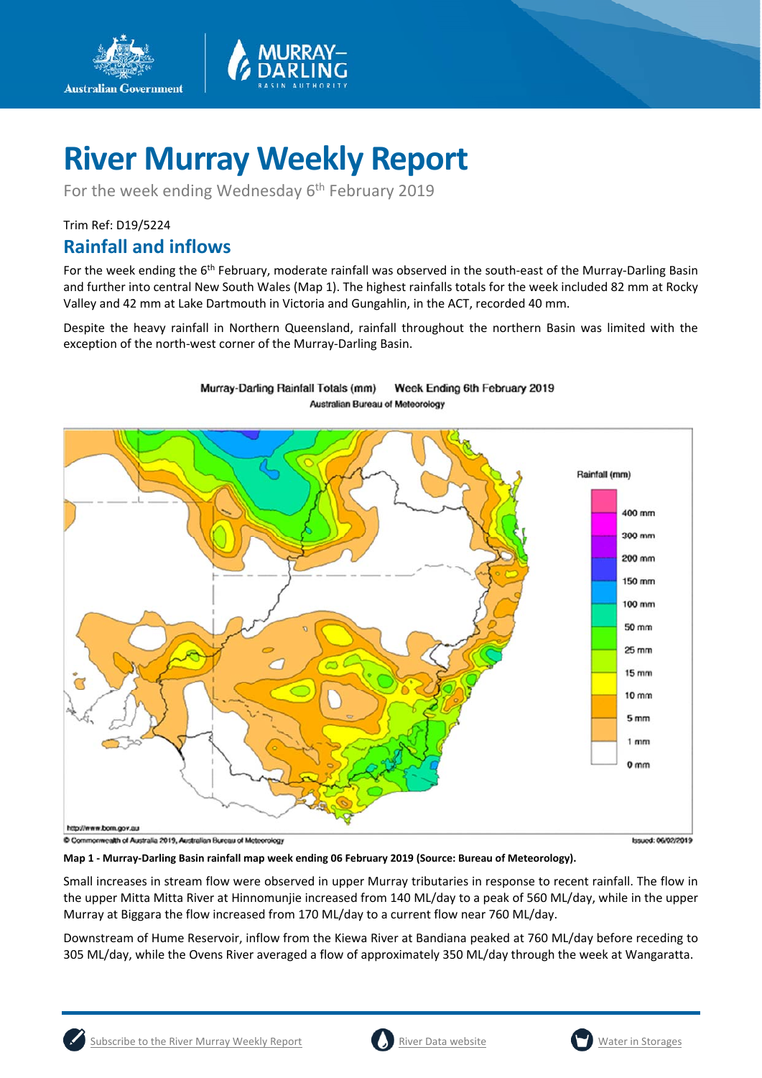

Murray-Darling Rainfall Totals (mm)

For the week ending Wednesday 6<sup>th</sup> February 2019

## Trim Ref: D19/5224

**Australian Government** 

## **Rainfall and inflows**

For the week ending the 6<sup>th</sup> February, moderate rainfall was observed in the south-east of the Murray-Darling Basin and further into central New South Wales (Map 1). The highest rainfalls totals for the week included 82 mm at Rocky Valley and 42 mm at Lake Dartmouth in Victoria and Gungahlin, in the ACT, recorded 40 mm.

Despite the heavy rainfall in Northern Queensland, rainfall throughout the northern Basin was limited with the exception of the north-west corner of the Murray-Darling Basin.

Week Ending 6th February 2019



**Map 1 - Murray-Darling Basin rainfall map week ending 06 February 2019 (Source: Bureau of Meteorology).**

Small increases in stream flow were observed in upper Murray tributaries in response to recent rainfall. The flow in the upper Mitta Mitta River at Hinnomunjie increased from 140 ML/day to a peak of 560 ML/day, while in the upper Murray at Biggara the flow increased from 170 ML/day to a current flow near 760 ML/day.

Downstream of Hume Reservoir, inflow from the Kiewa River at Bandiana peaked at 760 ML/day before receding to 305 ML/day, while the Ovens River averaged a flow of approximately 350 ML/day through the week at Wangaratta.

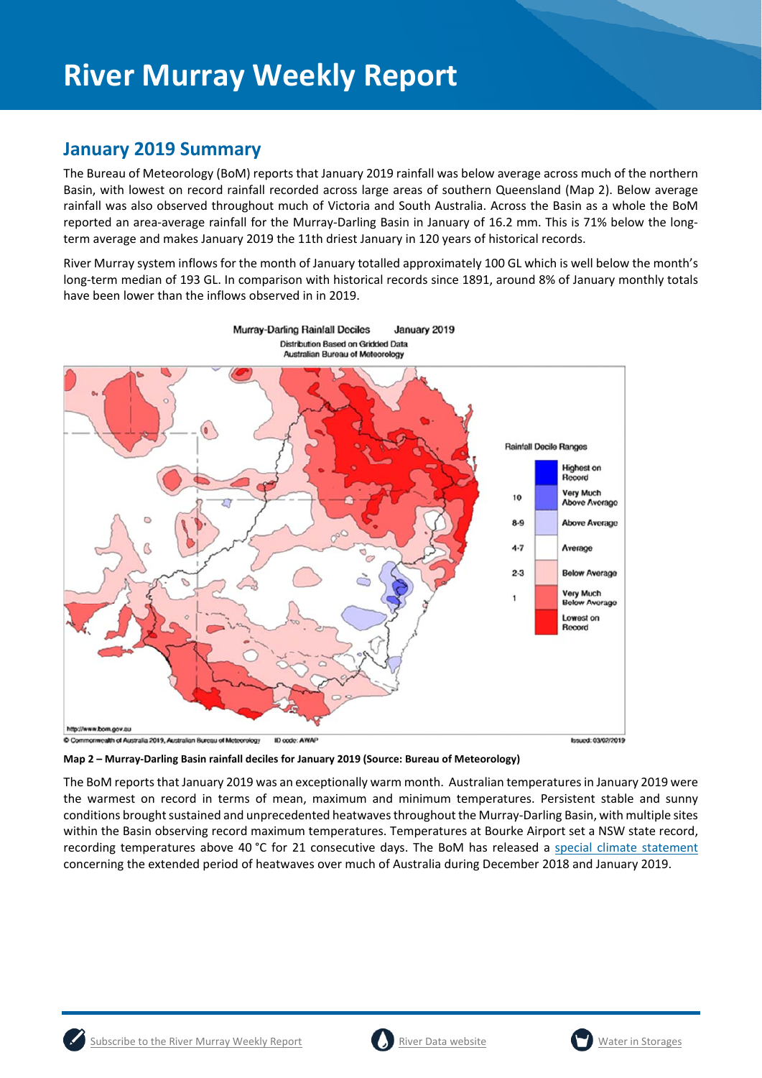## **January 2019 Summary**

The Bureau of Meteorology (BoM) reports that January 2019 rainfall was below average across much of the northern Basin, with lowest on record rainfall recorded across large areas of southern Queensland (Map 2). Below average rainfall was also observed throughout much of Victoria and South Australia. Across the Basin as a whole the BoM reported an area-average rainfall for the Murray-Darling Basin in January of 16.2 mm. This is 71% below the longterm average and makes January 2019 the 11th driest January in 120 years of historical records.

River Murray system inflows for the month of January totalled approximately 100 GL which is well below the month's long-term median of 193 GL. In comparison with historical records since 1891, around 8% of January monthly totals have been lower than the inflows observed in in 2019.



**Map 2 – Murray-Darling Basin rainfall deciles for January 2019 (Source: Bureau of Meteorology)** 

The BoM reports that January 2019 was an exceptionally warm month. Australian temperatures in January 2019 were the warmest on record in terms of mean, maximum and minimum temperatures. Persistent stable and sunny conditions brought sustained and unprecedented heatwaves throughout the Murray-Darling Basin, with multiple sites within the Basin observing record maximum temperatures. Temperatures at Bourke Airport set a NSW state record, recording temperatures above 40 °C for 21 consecutive days. The BoM has released a special climate statement concerning the extended period of heatwaves over much of Australia during December 2018 and January 2019.



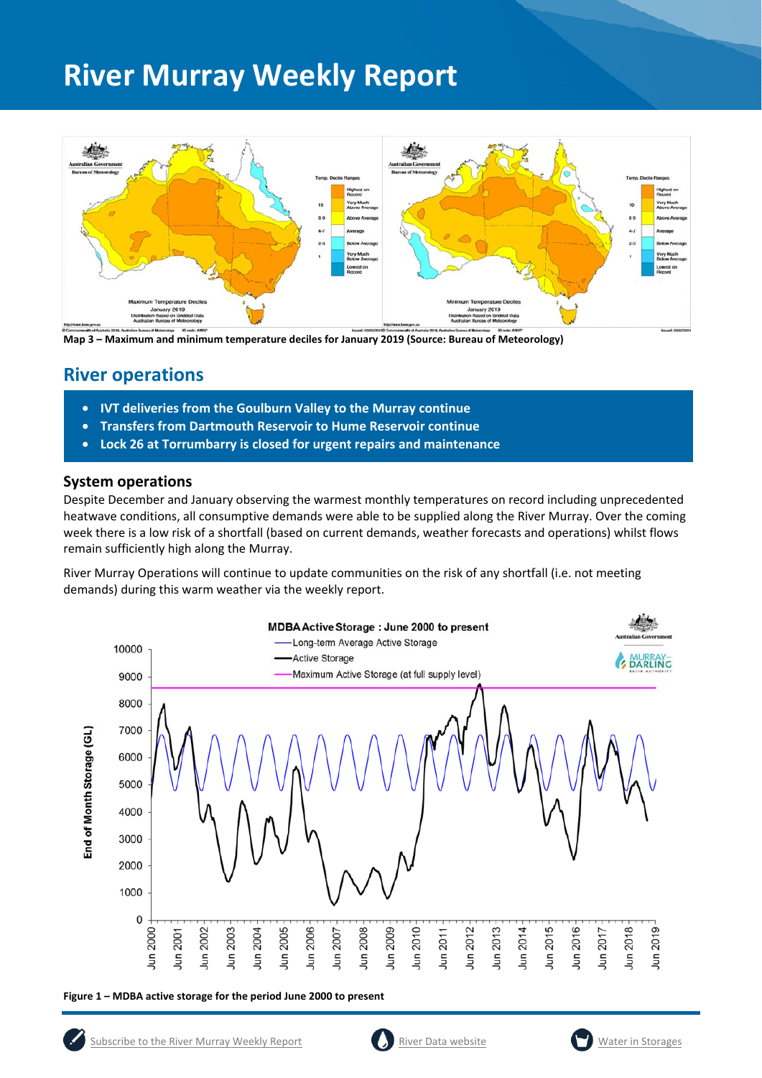

**Map 3 – Maximum and minimum temperature deciles for January 2019 (Source: Bureau of Meteorology)**

### **River operations**

- **IVT deliveries from the Goulburn Valley to the Murray continue**
- **Transfers from Dartmouth Reservoir to Hume Reservoir continue**
- **Lock 26 at Torrumbarry is closed for urgent repairs and maintenance**

#### **System operations**

Despite December and January observing the warmest monthly temperatures on record including unprecedented heatwave conditions, all consumptive demands were able to be supplied along the River Murray. Over the coming week there is a low risk of a shortfall (based on current demands, weather forecasts and operations) whilst flows remain sufficiently high along the Murray.

River Murray Operations will continue to update communities on the risk of any shortfall (i.e. not meeting demands) during this warm weather via the weekly report.



**Figure 1 – MDBA active storage for the period June 2000 to present** 



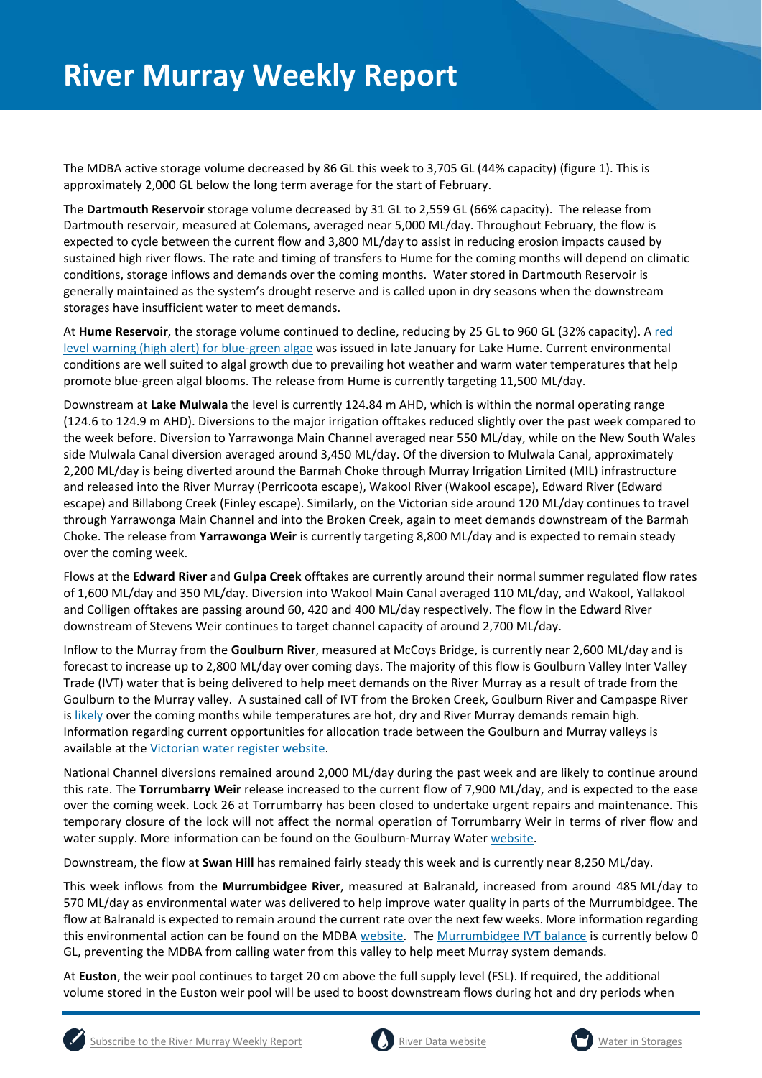The MDBA active storage volume decreased by 86 GL this week to 3,705 GL (44% capacity) (figure 1). This is approximately 2,000 GL below the long term average for the start of February.

The **Dartmouth Reservoir** storage volume decreased by 31 GL to 2,559 GL (66% capacity). The release from Dartmouth reservoir, measured at Colemans, averaged near 5,000 ML/day. Throughout February, the flow is expected to cycle between the current flow and 3,800 ML/day to assist in reducing erosion impacts caused by sustained high river flows. The rate and timing of transfers to Hume for the coming months will depend on climatic conditions, storage inflows and demands over the coming months. Water stored in Dartmouth Reservoir is generally maintained as the system's drought reserve and is called upon in dry seasons when the downstream storages have insufficient water to meet demands.

At **Hume Reservoir**, the storage volume continued to decline, reducing by 25 GL to 960 GL (32% capacity). A red level warning (high alert) for blue-green algae was issued in late January for Lake Hume. Current environmental conditions are well suited to algal growth due to prevailing hot weather and warm water temperatures that help promote blue-green algal blooms. The release from Hume is currently targeting 11,500 ML/day.

Downstream at **Lake Mulwala** the level is currently 124.84 m AHD, which is within the normal operating range (124.6 to 124.9 m AHD). Diversions to the major irrigation offtakes reduced slightly over the past week compared to the week before. Diversion to Yarrawonga Main Channel averaged near 550 ML/day, while on the New South Wales side Mulwala Canal diversion averaged around 3,450 ML/day. Of the diversion to Mulwala Canal, approximately 2,200 ML/day is being diverted around the Barmah Choke through Murray Irrigation Limited (MIL) infrastructure and released into the River Murray (Perricoota escape), Wakool River (Wakool escape), Edward River (Edward escape) and Billabong Creek (Finley escape). Similarly, on the Victorian side around 120 ML/day continues to travel through Yarrawonga Main Channel and into the Broken Creek, again to meet demands downstream of the Barmah Choke. The release from **Yarrawonga Weir** is currently targeting 8,800 ML/day and is expected to remain steady over the coming week.

Flows at the **Edward River** and **Gulpa Creek** offtakes are currently around their normal summer regulated flow rates of 1,600 ML/day and 350 ML/day. Diversion into Wakool Main Canal averaged 110 ML/day, and Wakool, Yallakool and Colligen offtakes are passing around 60, 420 and 400 ML/day respectively. The flow in the Edward River downstream of Stevens Weir continues to target channel capacity of around 2,700 ML/day.

Inflow to the Murray from the **Goulburn River**, measured at McCoys Bridge, is currently near 2,600 ML/day and is forecast to increase up to 2,800 ML/day over coming days. The majority of this flow is Goulburn Valley Inter Valley Trade (IVT) water that is being delivered to help meet demands on the River Murray as a result of trade from the Goulburn to the Murray valley. A sustained call of IVT from the Broken Creek, Goulburn River and Campaspe River is likely over the coming months while temperatures are hot, dry and River Murray demands remain high. Information regarding current opportunities for allocation trade between the Goulburn and Murray valleys is available at the Victorian water register website.

National Channel diversions remained around 2,000 ML/day during the past week and are likely to continue around this rate. The **Torrumbarry Weir** release increased to the current flow of 7,900 ML/day, and is expected to the ease over the coming week. Lock 26 at Torrumbarry has been closed to undertake urgent repairs and maintenance. This temporary closure of the lock will not affect the normal operation of Torrumbarry Weir in terms of river flow and water supply. More information can be found on the Goulburn-Murray Water website.

Downstream, the flow at **Swan Hill** has remained fairly steady this week and is currently near 8,250 ML/day.

This week inflows from the **Murrumbidgee River**, measured at Balranald, increased from around 485 ML/day to 570 ML/day as environmental water was delivered to help improve water quality in parts of the Murrumbidgee. The flow at Balranald is expected to remain around the current rate over the next few weeks. More information regarding this environmental action can be found on the MDBA website. The Murrumbidgee IVT balance is currently below 0 GL, preventing the MDBA from calling water from this valley to help meet Murray system demands.

At **Euston**, the weir pool continues to target 20 cm above the full supply level (FSL). If required, the additional volume stored in the Euston weir pool will be used to boost downstream flows during hot and dry periods when





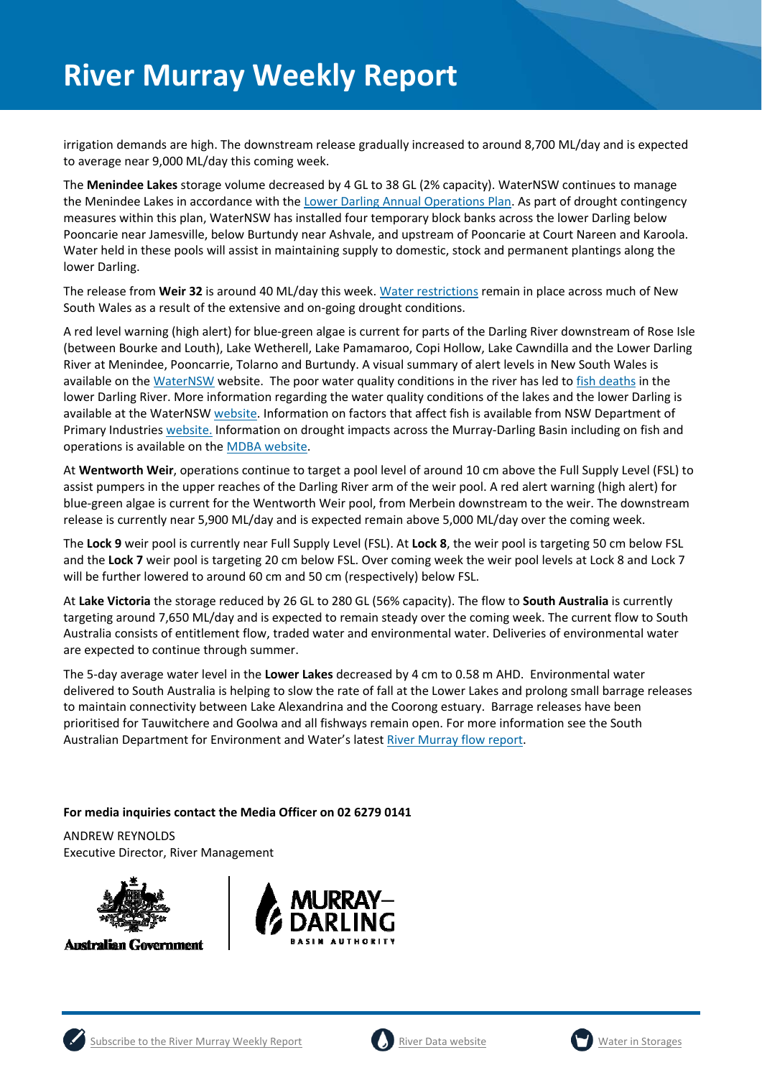irrigation demands are high. The downstream release gradually increased to around 8,700 ML/day and is expected to average near 9,000 ML/day this coming week.

The **Menindee Lakes** storage volume decreased by 4 GL to 38 GL (2% capacity). WaterNSW continues to manage the Menindee Lakes in accordance with the Lower Darling Annual Operations Plan. As part of drought contingency measures within this plan, WaterNSW has installed four temporary block banks across the lower Darling below Pooncarie near Jamesville, below Burtundy near Ashvale, and upstream of Pooncarie at Court Nareen and Karoola. Water held in these pools will assist in maintaining supply to domestic, stock and permanent plantings along the lower Darling.

The release from **Weir 32** is around 40 ML/day this week. Water restrictions remain in place across much of New South Wales as a result of the extensive and on-going drought conditions.

A red level warning (high alert) for blue-green algae is current for parts of the Darling River downstream of Rose Isle (between Bourke and Louth), Lake Wetherell, Lake Pamamaroo, Copi Hollow, Lake Cawndilla and the Lower Darling River at Menindee, Pooncarrie, Tolarno and Burtundy. A visual summary of alert levels in New South Wales is available on the WaterNSW website. The poor water quality conditions in the river has led to fish deaths in the lower Darling River. More information regarding the water quality conditions of the lakes and the lower Darling is available at the WaterNSW website. Information on factors that affect fish is available from NSW Department of Primary Industries website. Information on drought impacts across the Murray-Darling Basin including on fish and operations is available on the MDBA website.

At **Wentworth Weir**, operations continue to target a pool level of around 10 cm above the Full Supply Level (FSL) to assist pumpers in the upper reaches of the Darling River arm of the weir pool. A red alert warning (high alert) for blue-green algae is current for the Wentworth Weir pool, from Merbein downstream to the weir. The downstream release is currently near 5,900 ML/day and is expected remain above 5,000 ML/day over the coming week.

The **Lock 9** weir pool is currently near Full Supply Level (FSL). At **Lock 8**, the weir pool is targeting 50 cm below FSL and the **Lock 7** weir pool is targeting 20 cm below FSL. Over coming week the weir pool levels at Lock 8 and Lock 7 will be further lowered to around 60 cm and 50 cm (respectively) below FSL.

At **Lake Victoria** the storage reduced by 26 GL to 280 GL (56% capacity). The flow to **South Australia** is currently targeting around 7,650 ML/day and is expected to remain steady over the coming week. The current flow to South Australia consists of entitlement flow, traded water and environmental water. Deliveries of environmental water are expected to continue through summer.

The 5-day average water level in the **Lower Lakes** decreased by 4 cm to 0.58 m AHD. Environmental water delivered to South Australia is helping to slow the rate of fall at the Lower Lakes and prolong small barrage releases to maintain connectivity between Lake Alexandrina and the Coorong estuary. Barrage releases have been prioritised for Tauwitchere and Goolwa and all fishways remain open. For more information see the South Australian Department for Environment and Water's latest River Murray flow report.

#### **For media inquiries contact the Media Officer on 02 6279 0141**

ANDREW REYNOLDS Executive Director, River Management



**Australian Government** 







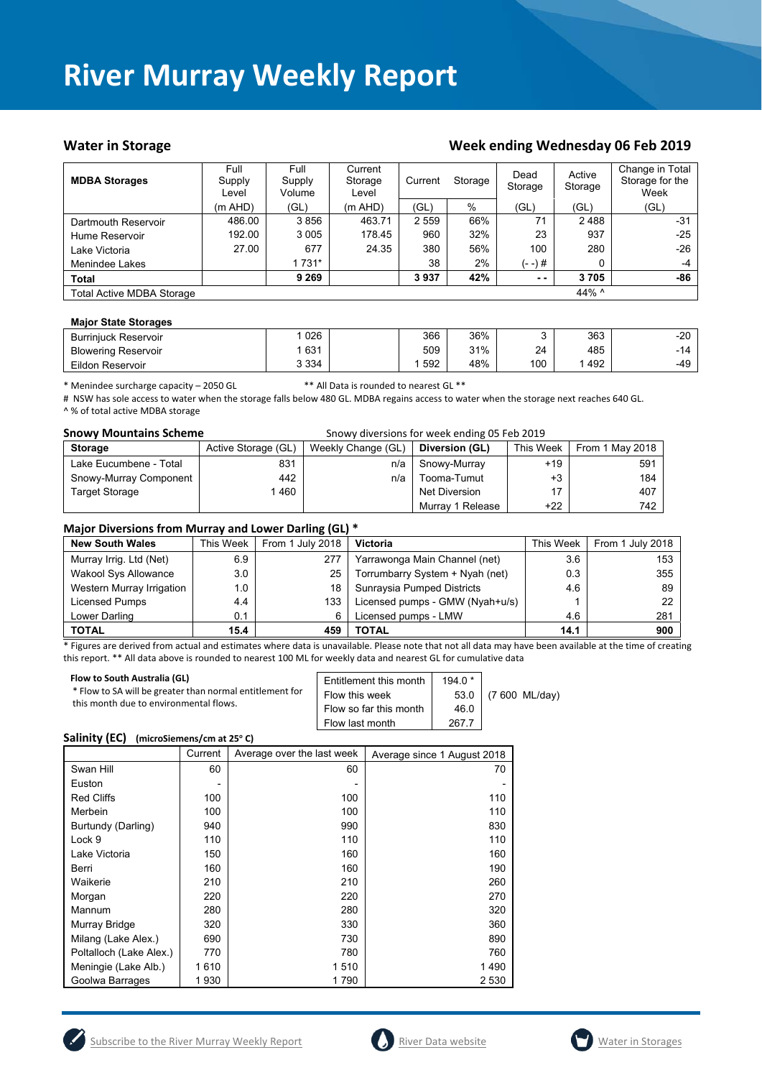#### Water in Storage Week ending Week ending Wednesday 06 Feb 2019

| <b>MDBA Storages</b>             | Full<br>Supply<br>Level | <b>Full</b><br>Supply<br>Volume | Current<br>Storage<br>Level | Storage<br>Current |     | Dead<br>Storage<br>Storage |       | Change in Total<br>Storage for the<br>Week |
|----------------------------------|-------------------------|---------------------------------|-----------------------------|--------------------|-----|----------------------------|-------|--------------------------------------------|
|                                  | (m AHD)                 | (GL)                            | $(m$ AHD)                   | 'GL)               | %   | (GL)                       | (GL)  | (GL)                                       |
| Dartmouth Reservoir              | 486.00                  | 3856                            | 463.71                      | 2 5 5 9            | 66% | 71                         | 2488  | $-31$                                      |
| Hume Reservoir                   | 192.00                  | 3 0 0 5                         | 178.45                      | 960                | 32% | 23                         | 937   | -25                                        |
| Lake Victoria                    | 27.00                   | 677                             | 24.35                       | 380                | 56% | 100                        | 280   | $-26$                                      |
| Menindee Lakes                   |                         | 1 7 3 1 *                       |                             | 38                 | 2%  | (- -)#                     | 0     | $-4$                                       |
| <b>Total</b>                     |                         | 9 2 6 9                         |                             | 3937               | 42% | $\sim$ $\sim$              | 3705  | -86                                        |
| <b>Total Active MDBA Storage</b> |                         |                                 |                             |                    |     |                            | 44% ^ |                                            |

#### **Major State Storages**

| <b>Burriniuck Reservoir</b> | 026     | 366 | 36% |     | 363 | $-20$ |
|-----------------------------|---------|-----|-----|-----|-----|-------|
| <b>Blowering Reservoir</b>  | 631     | 509 | 31% | 24  | 485 | - 14  |
| Eildon Reservoir            | 3 3 3 4 | 592 | 48% | 100 | 492 | $-49$ |

\* Menindee surcharge capacity – 2050 GL \*\* All Data is rounded to nearest GL \*\*

# NSW has sole access to water when the storage falls below 480 GL. MDBA regains access to water when the storage next reaches 640 GL. ^ % of total active MDBA storage

| <b>Snowy Mountains Scheme</b> |                     | Snowy diversions for week ending 05 Feb 2019 |                  |           |                 |
|-------------------------------|---------------------|----------------------------------------------|------------------|-----------|-----------------|
| <b>Storage</b>                | Active Storage (GL) | Weekly Change (GL)                           | Diversion (GL)   | This Week | From 1 May 2018 |
| Lake Eucumbene - Total        | 831                 | n/a                                          | Snowy-Murray     | $+19$     | 591             |
| Snowy-Murray Component        | 442                 | n/a                                          | Tooma-Tumut      | $+3$      | 184             |
| <b>Target Storage</b>         | 460                 |                                              | Net Diversion    | 17        | 407             |
|                               |                     |                                              | Murray 1 Release | $+22$     | 742             |

#### **Major Diversions from Murray and Lower Darling (GL) \***

| <b>New South Wales</b>      | This Week | From 1 July 2018 | <b>Victoria</b>                 | This Week | From 1 July 2018 |
|-----------------------------|-----------|------------------|---------------------------------|-----------|------------------|
| Murray Irrig. Ltd (Net)     | 6.9       | 277              | Yarrawonga Main Channel (net)   | 3.6       | 153              |
| <b>Wakool Sys Allowance</b> | 3.0       | 25               | Torrumbarry System + Nyah (net) | 0.3       | 355              |
| Western Murray Irrigation   | 1.0       | 18               | Sunraysia Pumped Districts      | 4.6       | 89               |
| Licensed Pumps              | 4.4       | 133              | Licensed pumps - GMW (Nyah+u/s) |           | 22               |
| Lower Darling               | 0.1       | 6                | Licensed pumps - LMW            | 4.6       | 281              |
| <b>TOTAL</b>                | 15.4      | 459              | TOTAL                           | 14.1      | 900              |

\* Figures are derived from actual and estimates where data is unavailable. Please note that not all data may have been available at the time of creating this report. \*\* All data above is rounded to nearest 100 ML for weekly data and nearest GL for cumulative data

| Flow to South Australia (GL)                             | Entitlement this month | $194.0*$ | (7 600 ML/day) |
|----------------------------------------------------------|------------------------|----------|----------------|
| * Flow to SA will be greater than normal entitlement for | Flow this week         | 53.0     |                |
| this month due to environmental flows.                   | Flow so far this month | 46.0     |                |
|                                                          | Flow last month        | 267.7    |                |

#### Salinity (EC) (microSiemens/cm at 25°C)

|                         | Current | Average over the last week | Average since 1 August 2018 |
|-------------------------|---------|----------------------------|-----------------------------|
| Swan Hill               | 60      | 60                         | 70                          |
| Euston                  |         |                            |                             |
| <b>Red Cliffs</b>       | 100     | 100                        | 110                         |
| Merbein                 | 100     | 100                        | 110                         |
| Burtundy (Darling)      | 940     | 990                        | 830                         |
| Lock 9                  | 110     | 110                        | 110                         |
| Lake Victoria           | 150     | 160                        | 160                         |
| Berri                   | 160     | 160                        | 190                         |
| Waikerie                | 210     | 210                        | 260                         |
| Morgan                  | 220     | 220                        | 270                         |
| Mannum                  | 280     | 280                        | 320                         |
| Murray Bridge           | 320     | 330                        | 360                         |
| Milang (Lake Alex.)     | 690     | 730                        | 890                         |
| Poltalloch (Lake Alex.) | 770     | 780                        | 760                         |
| Meningie (Lake Alb.)    | 1610    | 1510                       | 1490                        |
| Goolwa Barrages         | 1930    | 1790                       | 2 5 3 0                     |





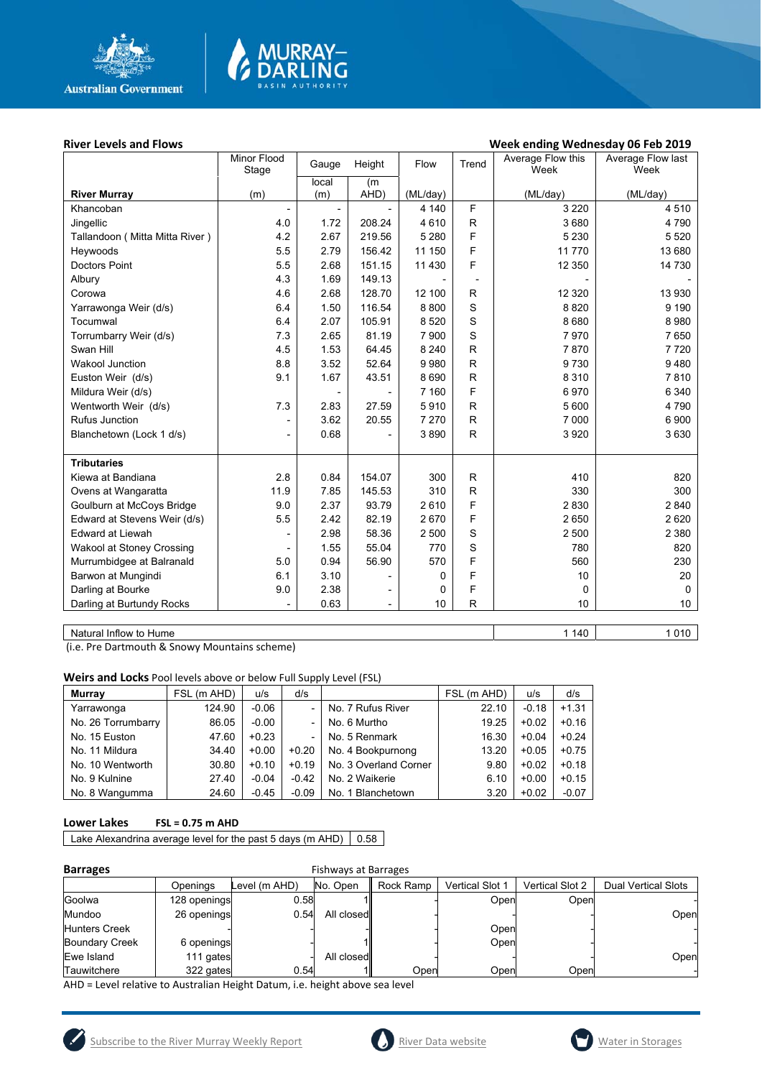

# MURRAY<mark>–</mark><br>DARLING

#### River Levels and Flows **River Levels and Flows Week ending Wednesday 06 Feb 2019**

|                                  | Minor Flood    | Gauge | Height                   | Flow     | Trend                    | Average Flow this | Average Flow last |
|----------------------------------|----------------|-------|--------------------------|----------|--------------------------|-------------------|-------------------|
|                                  | Stage          | local | (m)                      |          |                          | Week              | Week              |
| <b>River Murray</b>              | (m)            | (m)   | AHD)                     | (ML/day) |                          | (ML/day)          | (ML/day)          |
| Khancoban                        |                |       |                          | 4 140    | F                        | 3 2 2 0           | 4510              |
| Jingellic                        | 4.0            | 1.72  | 208.24                   | 4610     | R                        | 3680              | 4790              |
| Tallandoon ( Mitta Mitta River ) | 4.2            | 2.67  | 219.56                   | 5 2 8 0  | F                        | 5 2 3 0           | 5 5 20            |
| Heywoods                         | 5.5            | 2.79  | 156.42                   | 11 150   | F                        | 11 770            | 13 680            |
| <b>Doctors Point</b>             | 5.5            | 2.68  | 151.15                   | 11 4 30  | F                        | 12 350            | 14 730            |
| Albury                           | 4.3            | 1.69  | 149.13                   |          | $\overline{\phantom{a}}$ |                   |                   |
| Corowa                           | 4.6            | 2.68  | 128.70                   | 12 100   | R                        | 12 3 20           | 13 930            |
| Yarrawonga Weir (d/s)            | 6.4            | 1.50  | 116.54                   | 8800     | S                        | 8820              | 9 1 9 0           |
| Tocumwal                         | 6.4            | 2.07  | 105.91                   | 8 5 20   | S                        | 8680              | 8980              |
| Torrumbarry Weir (d/s)           | 7.3            | 2.65  | 81.19                    | 7 900    | S                        | 7970              | 7650              |
| Swan Hill                        | 4.5            | 1.53  | 64.45                    | 8 2 4 0  | R                        | 7870              | 7720              |
| <b>Wakool Junction</b>           | 8.8            | 3.52  | 52.64                    | 9980     | R                        | 9730              | 9480              |
| Euston Weir (d/s)                | 9.1            | 1.67  | 43.51                    | 8690     | R                        | 8 3 1 0           | 7810              |
| Mildura Weir (d/s)               |                |       |                          | 7 1 6 0  | F                        | 6970              | 6 3 4 0           |
| Wentworth Weir (d/s)             | 7.3            | 2.83  | 27.59                    | 5910     | R                        | 5 600             | 4790              |
| Rufus Junction                   | ۰              | 3.62  | 20.55                    | 7 2 7 0  | R                        | 7 0 0 0           | 6900              |
| Blanchetown (Lock 1 d/s)         | $\overline{a}$ | 0.68  |                          | 3890     | $\mathsf{R}$             | 3 9 2 0           | 3630              |
|                                  |                |       |                          |          |                          |                   |                   |
| <b>Tributaries</b>               |                |       |                          |          |                          |                   |                   |
| Kiewa at Bandiana                | 2.8            | 0.84  | 154.07                   | 300      | R                        | 410               | 820               |
| Ovens at Wangaratta              | 11.9           | 7.85  | 145.53                   | 310      | $\mathsf{R}$             | 330               | 300               |
| Goulburn at McCoys Bridge        | 9.0            | 2.37  | 93.79                    | 2610     | F                        | 2830              | 2840              |
| Edward at Stevens Weir (d/s)     | 5.5            | 2.42  | 82.19                    | 2670     | F                        | 2 6 5 0           | 2620              |
| Edward at Liewah                 |                | 2.98  | 58.36                    | 2 500    | S                        | 2 500             | 2 3 8 0           |
| Wakool at Stoney Crossing        |                | 1.55  | 55.04                    | 770      | S                        | 780               | 820               |
| Murrumbidgee at Balranald        | 5.0            | 0.94  | 56.90                    | 570      | F                        | 560               | 230               |
| Barwon at Mungindi               | 6.1            | 3.10  |                          | 0        | F                        | 10                | 20                |
| Darling at Bourke                | 9.0            | 2.38  | $\overline{\phantom{a}}$ | 0        | F                        | $\Omega$          | $\Omega$          |
| Darling at Burtundy Rocks        |                | 0.63  | $\blacksquare$           | 10       | R                        | 10                | 10 <sup>1</sup>   |
|                                  |                |       |                          |          |                          |                   |                   |

Natural Inflow to Hume 1 140 | 1 140 | 1 140 | 1 140 | 1 140 | 1 140 | 1 140 | 1 150 | 1 | 1010 | 1010 | 1010 | 1010 | 1010 | 1010 | 1010 | 1010 | 1010 | 1010 | 1010 | 1010 | 1010 | 1010 | 1010 | 1010 | 1010 | 1010 | 1010

(i.e. Pre Dartmouth & Snowy Mountains scheme)

**Weirs and Locks** Pool levels above or below Full Supply Level (FSL)

| Murray             | FSL (m AHD) | u/s     | d/s     |                       | FSL (m AHD) | u/s     | d/s     |
|--------------------|-------------|---------|---------|-----------------------|-------------|---------|---------|
| Yarrawonga         | 124.90      | $-0.06$ |         | No. 7 Rufus River     | 22.10       | $-0.18$ | $+1.31$ |
| No. 26 Torrumbarry | 86.05       | $-0.00$ |         | No. 6 Murtho          | 19.25       | $+0.02$ | $+0.16$ |
| No. 15 Euston      | 47.60       | $+0.23$ |         | No. 5 Renmark         | 16.30       | $+0.04$ | $+0.24$ |
| No. 11 Mildura     | 34.40       | $+0.00$ | $+0.20$ | No. 4 Bookpurnong     | 13.20       | $+0.05$ | $+0.75$ |
| No. 10 Wentworth   | 30.80       | $+0.10$ | $+0.19$ | No. 3 Overland Corner | 9.80        | $+0.02$ | $+0.18$ |
| No. 9 Kulnine      | 27.40       | $-0.04$ | $-0.42$ | No. 2 Waikerie        | 6.10        | $+0.00$ | $+0.15$ |
| No. 8 Wangumma     | 24.60       | $-0.45$ | $-0.09$ | No. 1 Blanchetown     | 3.20        | $+0.02$ | $-0.07$ |

#### **Lower Lakes FSL = 0.75 m AHD**

Lake Alexandrina average level for the past 5 days (m AHD)  $\Big| 0.58$ 

| <b>Barrages</b>       |              |               | <b>Fishways at Barrages</b> |           |                        |                 |                            |  |
|-----------------------|--------------|---------------|-----------------------------|-----------|------------------------|-----------------|----------------------------|--|
|                       | Openinas     | Level (m AHD) | No. Open                    | Rock Ramp | <b>Vertical Slot 1</b> | Vertical Slot 2 | <b>Dual Vertical Slots</b> |  |
| Goolwa                | 128 openings | 0.58          |                             |           | Open                   | Open            |                            |  |
| Mundoo                | 26 openings  | 0.54          | All closed                  |           |                        |                 | Open                       |  |
| <b>Hunters Creek</b>  |              |               |                             |           | Open                   |                 |                            |  |
| <b>Boundary Creek</b> | 6 openings   |               |                             |           | Open                   |                 |                            |  |
| Ewe Island            | 111 gates    |               | All closed                  |           |                        |                 | Open                       |  |
| Tauwitchere           | 322 gates    | 0.54          |                             | Open      | Open                   | Open            |                            |  |

AHD = Level relative to Australian Height Datum, i.e. height above sea level